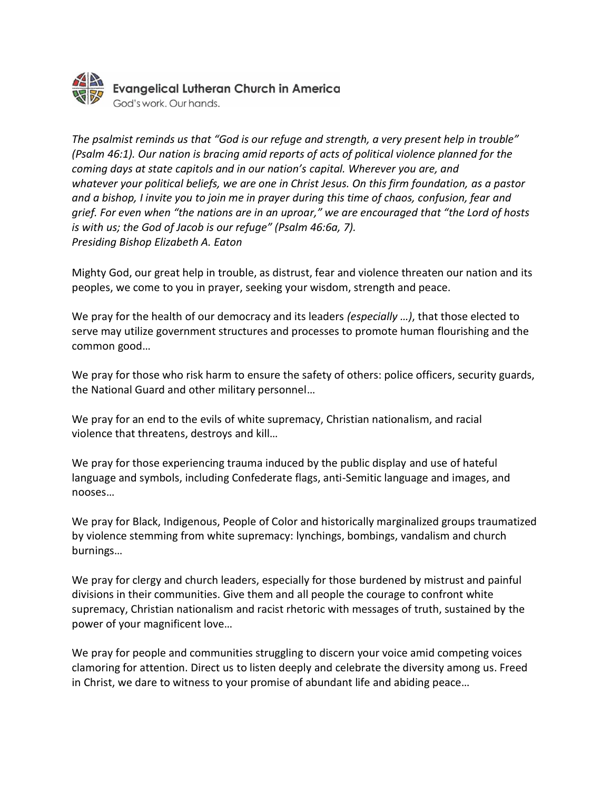

*The psalmist reminds us that "God is our refuge and strength, a very present help in trouble" (Psalm 46:1). Our nation is bracing amid reports of acts of political violence planned for the coming days at state capitols and in our nation's capital. Wherever you are, and whatever your political beliefs, we are one in Christ Jesus. On this firm foundation, as a pastor and a bishop, I invite you to join me in prayer during this time of chaos, confusion, fear and grief. For even when "the nations are in an uproar," we are encouraged that "the Lord of hosts is with us; the God of Jacob is our refuge" (Psalm 46:6a, 7). Presiding Bishop Elizabeth A. Eaton*

Mighty God, our great help in trouble, as distrust, fear and violence threaten our nation and its peoples, we come to you in prayer, seeking your wisdom, strength and peace.

We pray for the health of our democracy and its leaders *(especially …)*, that those elected to serve may utilize government structures and processes to promote human flourishing and the common good…

We pray for those who risk harm to ensure the safety of others: police officers, security guards, the National Guard and other military personnel…

We pray for an end to the evils of white supremacy, Christian nationalism, and racial violence that threatens, destroys and kill…

We pray for those experiencing trauma induced by the public display and use of hateful language and symbols, including Confederate flags, anti-Semitic language and images, and nooses…

We pray for Black, Indigenous, People of Color and historically marginalized groups traumatized by violence stemming from white supremacy: lynchings, bombings, vandalism and church burnings…

We pray for clergy and church leaders, especially for those burdened by mistrust and painful divisions in their communities. Give them and all people the courage to confront white supremacy, Christian nationalism and racist rhetoric with messages of truth, sustained by the power of your magnificent love…

We pray for people and communities struggling to discern your voice amid competing voices clamoring for attention. Direct us to listen deeply and celebrate the diversity among us. Freed in Christ, we dare to witness to your promise of abundant life and abiding peace…